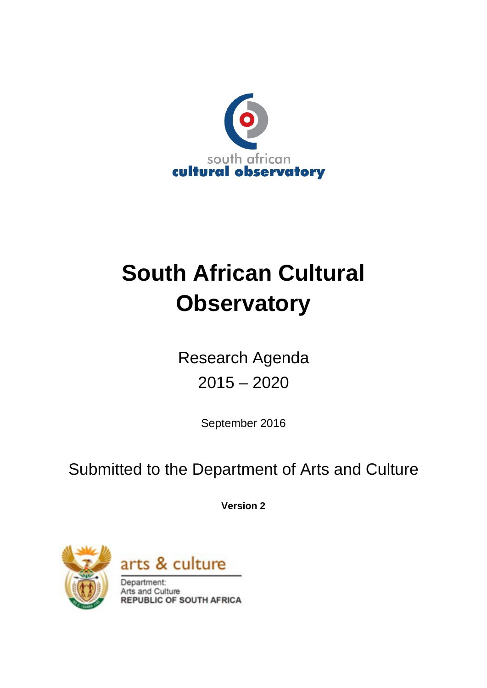

# **South African Cultural Observatory**

Research Agenda 2015 – 2020

September 2016

Submitted to the Department of Arts and Culture

**Version 2**





Department: Arts and Culture **REPUBLIC OF SOUTH AFRICA**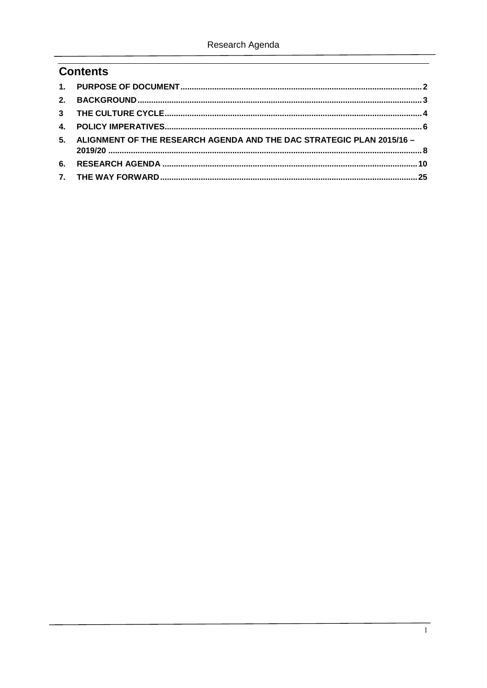# **Contents**

|    | 5. ALIGNMENT OF THE RESEARCH AGENDA AND THE DAC STRATEGIC PLAN 2015/16 - |  |
|----|--------------------------------------------------------------------------|--|
| 6. |                                                                          |  |
|    |                                                                          |  |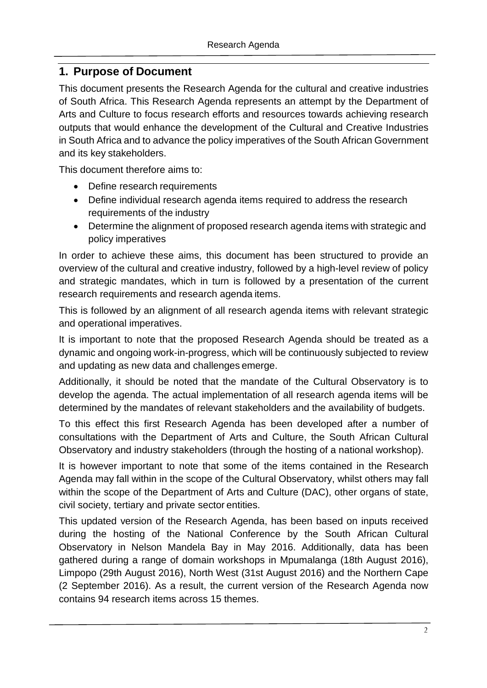#### <span id="page-2-0"></span>**1. Purpose of Document**

This document presents the Research Agenda for the cultural and creative industries of South Africa. This Research Agenda represents an attempt by the Department of Arts and Culture to focus research efforts and resources towards achieving research outputs that would enhance the development of the Cultural and Creative Industries in South Africa and to advance the policy imperatives of the South African Government and its key stakeholders.

This document therefore aims to:

- Define research requirements
- Define individual research agenda items required to address the research requirements of the industry
- Determine the alignment of proposed research agenda items with strategic and policy imperatives

In order to achieve these aims, this document has been structured to provide an overview of the cultural and creative industry, followed by a high-level review of policy and strategic mandates, which in turn is followed by a presentation of the current research requirements and research agenda items.

This is followed by an alignment of all research agenda items with relevant strategic and operational imperatives.

It is important to note that the proposed Research Agenda should be treated as a dynamic and ongoing work-in-progress, which will be continuously subjected to review and updating as new data and challenges emerge.

Additionally, it should be noted that the mandate of the Cultural Observatory is to develop the agenda. The actual implementation of all research agenda items will be determined by the mandates of relevant stakeholders and the availability of budgets.

To this effect this first Research Agenda has been developed after a number of consultations with the Department of Arts and Culture, the South African Cultural Observatory and industry stakeholders (through the hosting of a national workshop).

It is however important to note that some of the items contained in the Research Agenda may fall within in the scope of the Cultural Observatory, whilst others may fall within the scope of the Department of Arts and Culture (DAC), other organs of state, civil society, tertiary and private sector entities.

This updated version of the Research Agenda, has been based on inputs received during the hosting of the National Conference by the South African Cultural Observatory in Nelson Mandela Bay in May 2016. Additionally, data has been gathered during a range of domain workshops in Mpumalanga (18th August 2016), Limpopo (29th August 2016), North West (31st August 2016) and the Northern Cape (2 September 2016). As a result, the current version of the Research Agenda now contains 94 research items across 15 themes.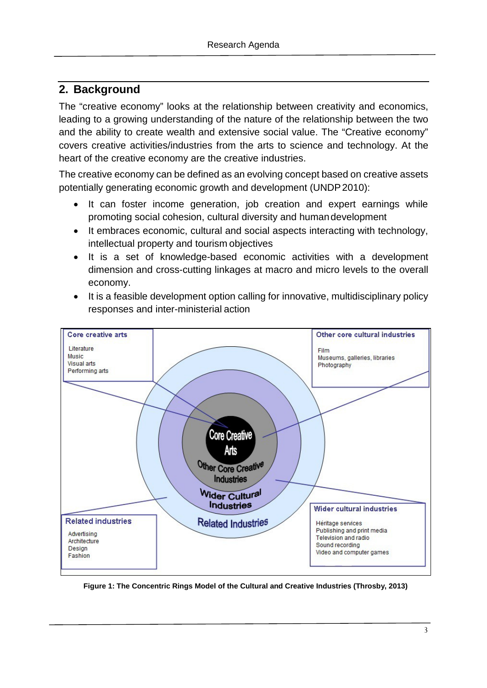## <span id="page-3-0"></span>**2. Background**

The "creative economy" looks at the relationship between creativity and economics, leading to a growing understanding of the nature of the relationship between the two and the ability to create wealth and extensive social value. The "Creative economy" covers creative activities/industries from the arts to science and technology. At the heart of the creative economy are the creative industries.

The creative economy can be defined as an evolving concept based on creative assets potentially generating economic growth and development (UNDP2010):

- It can foster income generation, job creation and expert earnings while promoting social cohesion, cultural diversity and humandevelopment
- It embraces economic, cultural and social aspects interacting with technology, intellectual property and tourism objectives
- It is a set of knowledge-based economic activities with a development dimension and cross-cutting linkages at macro and micro levels to the overall economy.
- It is a feasible development option calling for innovative, multidisciplinary policy responses and inter-ministerial action



**Figure 1: The Concentric Rings Model of the Cultural and Creative Industries (Throsby, 2013)**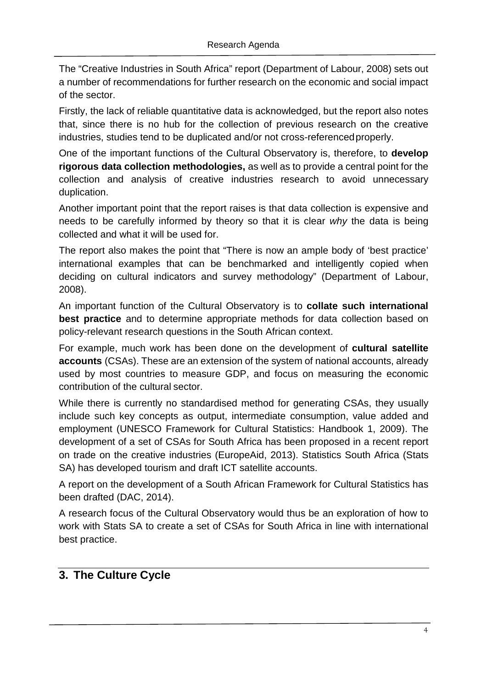The "Creative Industries in South Africa" report (Department of Labour, 2008) sets out a number of recommendations for further research on the economic and social impact of the sector.

Firstly, the lack of reliable quantitative data is acknowledged, but the report also notes that, since there is no hub for the collection of previous research on the creative industries, studies tend to be duplicated and/or not cross-referencedproperly.

One of the important functions of the Cultural Observatory is, therefore, to **develop rigorous data collection methodologies,** as well as to provide a central point for the collection and analysis of creative industries research to avoid unnecessary duplication.

Another important point that the report raises is that data collection is expensive and needs to be carefully informed by theory so that it is clear *why* the data is being collected and what it will be used for.

The report also makes the point that "There is now an ample body of 'best practice' international examples that can be benchmarked and intelligently copied when deciding on cultural indicators and survey methodology" (Department of Labour, 2008).

An important function of the Cultural Observatory is to **collate such international best practice** and to determine appropriate methods for data collection based on policy-relevant research questions in the South African context.

For example, much work has been done on the development of **cultural satellite accounts** (CSAs). These are an extension of the system of national accounts, already used by most countries to measure GDP, and focus on measuring the economic contribution of the cultural sector.

While there is currently no standardised method for generating CSAs, they usually include such key concepts as output, intermediate consumption, value added and employment (UNESCO Framework for Cultural Statistics: Handbook 1, 2009). The development of a set of CSAs for South Africa has been proposed in a recent report on trade on the creative industries (EuropeAid, 2013). Statistics South Africa (Stats SA) has developed tourism and draft ICT satellite accounts.

A report on the development of a South African Framework for Cultural Statistics has been drafted (DAC, 2014).

A research focus of the Cultural Observatory would thus be an exploration of how to work with Stats SA to create a set of CSAs for South Africa in line with international best practice.

## <span id="page-4-0"></span>**3. The Culture Cycle**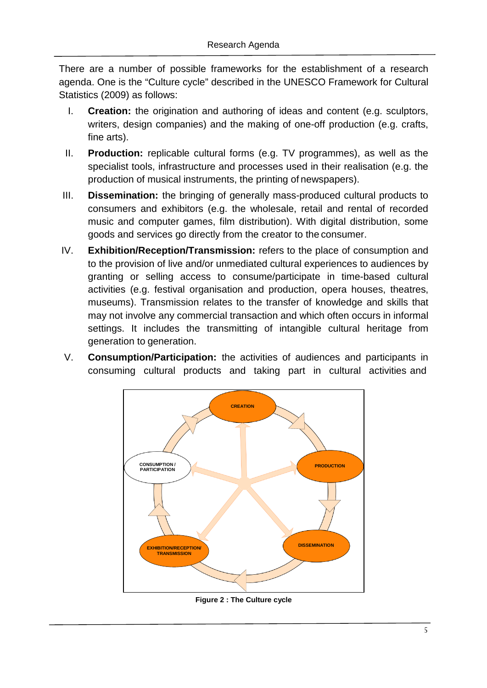There are a number of possible frameworks for the establishment of a research agenda. One is the "Culture cycle" described in the UNESCO Framework for Cultural Statistics (2009) as follows:

- I. **Creation:** the origination and authoring of ideas and content (e.g. sculptors, writers, design companies) and the making of one-off production (e.g. crafts, fine arts).
- II. **Production:** replicable cultural forms (e.g. TV programmes), as well as the specialist tools, infrastructure and processes used in their realisation (e.g. the production of musical instruments, the printing of newspapers).
- III. **Dissemination:** the bringing of generally mass-produced cultural products to consumers and exhibitors (e.g. the wholesale, retail and rental of recorded music and computer games, film distribution). With digital distribution, some goods and services go directly from the creator to the consumer.
- IV. **Exhibition/Reception/Transmission:** refers to the place of consumption and to the provision of live and/or unmediated cultural experiences to audiences by granting or selling access to consume/participate in time-based cultural activities (e.g. festival organisation and production, opera houses, theatres, museums). Transmission relates to the transfer of knowledge and skills that may not involve any commercial transaction and which often occurs in informal settings. It includes the transmitting of intangible cultural heritage from generation to generation.
- V. **Consumption/Participation:** the activities of audiences and participants in consuming cultural products and taking part in cultural activities and



**Figure 2 : The Culture cycle**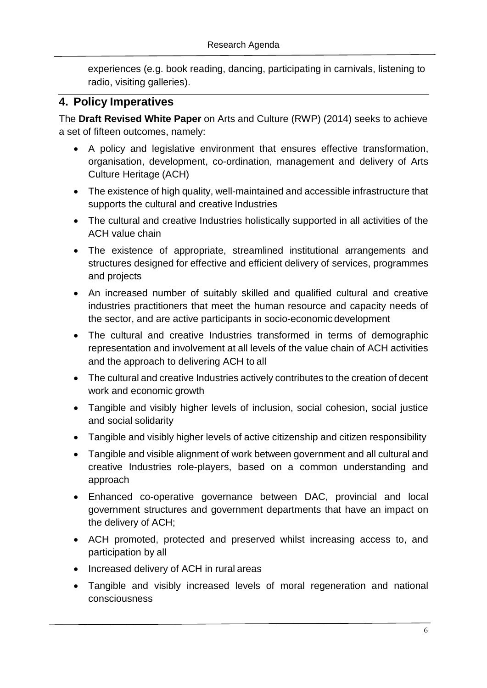experiences (e.g. book reading, dancing, participating in carnivals, listening to radio, visiting galleries).

### <span id="page-6-0"></span>**4. Policy Imperatives**

The **Draft Revised White Paper** on Arts and Culture (RWP) (2014) seeks to achieve a set of fifteen outcomes, namely:

- A policy and legislative environment that ensures effective transformation, organisation, development, co-ordination, management and delivery of Arts Culture Heritage (ACH)
- The existence of high quality, well-maintained and accessible infrastructure that supports the cultural and creative Industries
- The cultural and creative Industries holistically supported in all activities of the ACH value chain
- The existence of appropriate, streamlined institutional arrangements and structures designed for effective and efficient delivery of services, programmes and projects
- An increased number of suitably skilled and qualified cultural and creative industries practitioners that meet the human resource and capacity needs of the sector, and are active participants in socio-economic development
- The cultural and creative Industries transformed in terms of demographic representation and involvement at all levels of the value chain of ACH activities and the approach to delivering ACH to all
- The cultural and creative Industries actively contributes to the creation of decent work and economic growth
- Tangible and visibly higher levels of inclusion, social cohesion, social justice and social solidarity
- Tangible and visibly higher levels of active citizenship and citizen responsibility
- Tangible and visible alignment of work between government and all cultural and creative Industries role-players, based on a common understanding and approach
- Enhanced co-operative governance between DAC, provincial and local government structures and government departments that have an impact on the delivery of ACH;
- ACH promoted, protected and preserved whilst increasing access to, and participation by all
- Increased delivery of ACH in rural areas
- Tangible and visibly increased levels of moral regeneration and national consciousness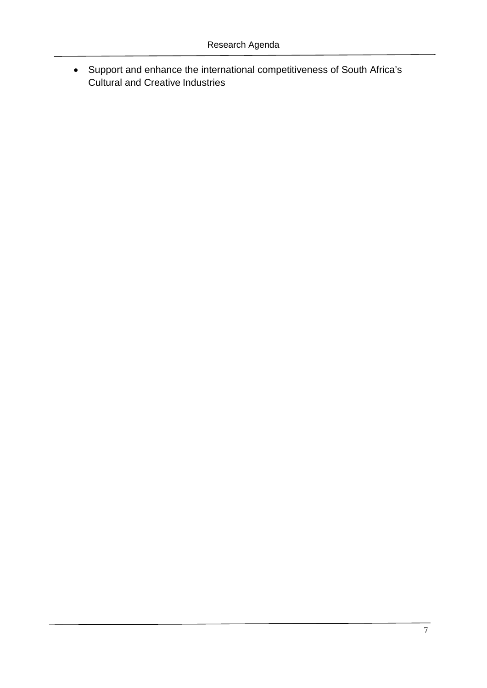• Support and enhance the international competitiveness of South Africa's Cultural and Creative Industries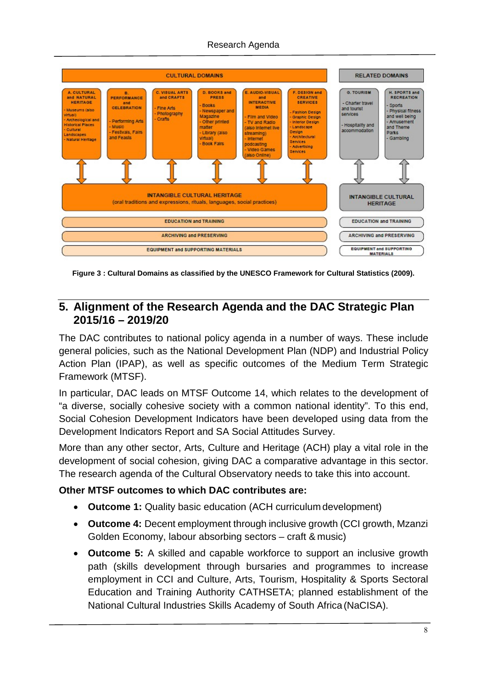#### Research Agenda



**Figure 3 : Cultural Domains as classified by the UNESCO Framework for Cultural Statistics (2009).**

#### <span id="page-8-0"></span>**5. Alignment of the Research Agenda and the DAC Strategic Plan 2015/16 – 2019/20**

The DAC contributes to national policy agenda in a number of ways. These include general policies, such as the National Development Plan (NDP) and Industrial Policy Action Plan (IPAP), as well as specific outcomes of the Medium Term Strategic Framework (MTSF).

In particular, DAC leads on MTSF Outcome 14, which relates to the development of "a diverse, socially cohesive society with a common national identity". To this end, Social Cohesion Development Indicators have been developed using data from the Development Indicators Report and SA Social Attitudes Survey.

More than any other sector, Arts, Culture and Heritage (ACH) play a vital role in the development of social cohesion, giving DAC a comparative advantage in this sector. The research agenda of the Cultural Observatory needs to take this into account.

#### **Other MTSF outcomes to which DAC contributes are:**

- **Outcome 1:** Quality basic education (ACH curriculum development)
- **Outcome 4:** Decent employment through inclusive growth (CCI growth, Mzanzi Golden Economy, labour absorbing sectors – craft & music)
- **Outcome 5:** A skilled and capable workforce to support an inclusive growth path (skills development through bursaries and programmes to increase employment in CCI and Culture, Arts, Tourism, Hospitality & Sports Sectoral Education and Training Authority CATHSETA; planned establishment of the National Cultural Industries Skills Academy of South Africa (NaCISA).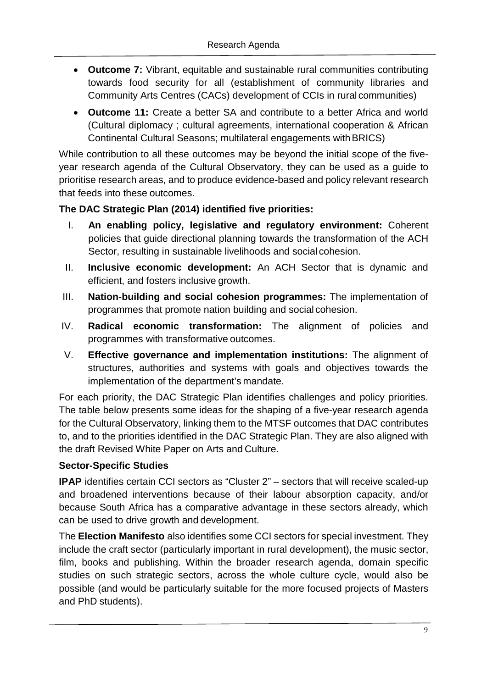- **Outcome 7:** Vibrant, equitable and sustainable rural communities contributing towards food security for all (establishment of community libraries and Community Arts Centres (CACs) development of CCIs in rural communities)
- **Outcome 11:** Create a better SA and contribute to a better Africa and world (Cultural diplomacy ; cultural agreements, international cooperation & African Continental Cultural Seasons; multilateral engagements withBRICS)

While contribution to all these outcomes may be beyond the initial scope of the fiveyear research agenda of the Cultural Observatory, they can be used as a guide to prioritise research areas, and to produce evidence-based and policy relevant research that feeds into these outcomes.

#### **The DAC Strategic Plan (2014) identified five priorities:**

- I. **An enabling policy, legislative and regulatory environment:** Coherent policies that guide directional planning towards the transformation of the ACH Sector, resulting in sustainable livelihoods and social cohesion.
- II. **Inclusive economic development:** An ACH Sector that is dynamic and efficient, and fosters inclusive growth.
- III. **Nation-building and social cohesion programmes:** The implementation of programmes that promote nation building and social cohesion.
- IV. **Radical economic transformation:** The alignment of policies and programmes with transformative outcomes.
- V. **Effective governance and implementation institutions:** The alignment of structures, authorities and systems with goals and objectives towards the implementation of the department's mandate.

For each priority, the DAC Strategic Plan identifies challenges and policy priorities. The table below presents some ideas for the shaping of a five-year research agenda for the Cultural Observatory, linking them to the MTSF outcomes that DAC contributes to, and to the priorities identified in the DAC Strategic Plan. They are also aligned with the draft Revised White Paper on Arts and Culture.

#### **Sector-Specific Studies**

**IPAP** identifies certain CCI sectors as "Cluster 2" – sectors that will receive scaled-up and broadened interventions because of their labour absorption capacity, and/or because South Africa has a comparative advantage in these sectors already, which can be used to drive growth and development.

The **Election Manifesto** also identifies some CCI sectors for special investment. They include the craft sector (particularly important in rural development), the music sector, film, books and publishing. Within the broader research agenda, domain specific studies on such strategic sectors, across the whole culture cycle, would also be possible (and would be particularly suitable for the more focused projects of Masters and PhD students).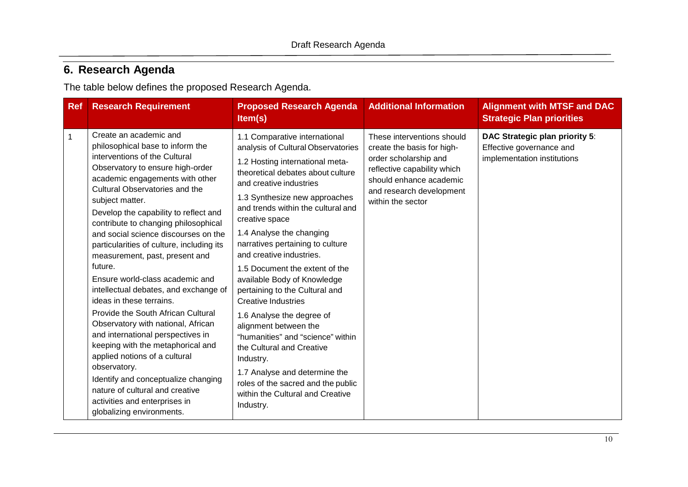# **6. Research Agenda**

The table below defines the proposed Research Agenda.

<span id="page-10-0"></span>

| <b>Ref</b> | <b>Research Requirement</b>                                                                                                                                                                                                                                                                                                                                                                                                                                                                                                                                                                                                                                                                                                                                                                                                                                                                       | <b>Proposed Research Agenda</b><br>Item(s)                                                                                                                                                                                                                                                                                                                                                                                                                                                                                                                                                                                                                                                                                                                | <b>Additional Information</b>                                                                                                                                                                | <b>Alignment with MTSF and DAC</b><br><b>Strategic Plan priorities</b>                    |
|------------|---------------------------------------------------------------------------------------------------------------------------------------------------------------------------------------------------------------------------------------------------------------------------------------------------------------------------------------------------------------------------------------------------------------------------------------------------------------------------------------------------------------------------------------------------------------------------------------------------------------------------------------------------------------------------------------------------------------------------------------------------------------------------------------------------------------------------------------------------------------------------------------------------|-----------------------------------------------------------------------------------------------------------------------------------------------------------------------------------------------------------------------------------------------------------------------------------------------------------------------------------------------------------------------------------------------------------------------------------------------------------------------------------------------------------------------------------------------------------------------------------------------------------------------------------------------------------------------------------------------------------------------------------------------------------|----------------------------------------------------------------------------------------------------------------------------------------------------------------------------------------------|-------------------------------------------------------------------------------------------|
| 1          | Create an academic and<br>philosophical base to inform the<br>interventions of the Cultural<br>Observatory to ensure high-order<br>academic engagements with other<br>Cultural Observatories and the<br>subject matter.<br>Develop the capability to reflect and<br>contribute to changing philosophical<br>and social science discourses on the<br>particularities of culture, including its<br>measurement, past, present and<br>future.<br>Ensure world-class academic and<br>intellectual debates, and exchange of<br>ideas in these terrains.<br>Provide the South African Cultural<br>Observatory with national, African<br>and international perspectives in<br>keeping with the metaphorical and<br>applied notions of a cultural<br>observatory.<br>Identify and conceptualize changing<br>nature of cultural and creative<br>activities and enterprises in<br>globalizing environments. | 1.1 Comparative international<br>analysis of Cultural Observatories<br>1.2 Hosting international meta-<br>theoretical debates about culture<br>and creative industries<br>1.3 Synthesize new approaches<br>and trends within the cultural and<br>creative space<br>1.4 Analyse the changing<br>narratives pertaining to culture<br>and creative industries.<br>1.5 Document the extent of the<br>available Body of Knowledge<br>pertaining to the Cultural and<br><b>Creative Industries</b><br>1.6 Analyse the degree of<br>alignment between the<br>"humanities" and "science" within<br>the Cultural and Creative<br>Industry.<br>1.7 Analyse and determine the<br>roles of the sacred and the public<br>within the Cultural and Creative<br>Industry. | These interventions should<br>create the basis for high-<br>order scholarship and<br>reflective capability which<br>should enhance academic<br>and research development<br>within the sector | DAC Strategic plan priority 5:<br>Effective governance and<br>implementation institutions |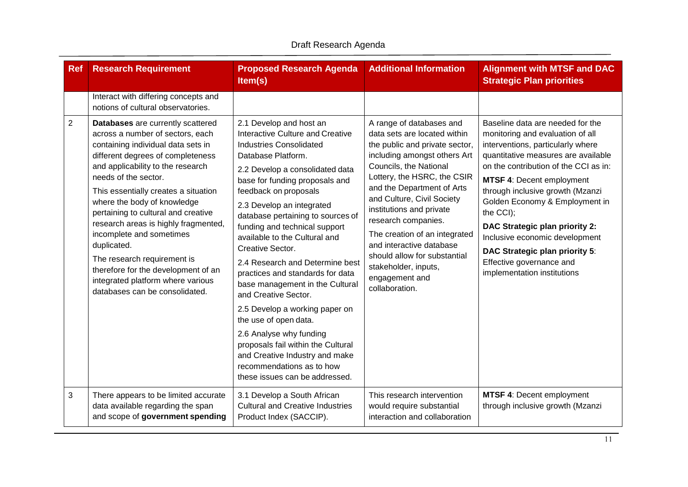| <b>Ref</b>     | <b>Research Requirement</b>                                                                                                                                                                                                                                                                                                                                                                                                                                                                                                                                 | <b>Proposed Research Agenda</b><br>Item(s)                                                                                                                                                                                                                                                                                                                                                                                                                                                                                                                                                                                                                                                                                                      | <b>Additional Information</b>                                                                                                                                                                                                                                                                                                                                                                                                                               | <b>Alignment with MTSF and DAC</b><br><b>Strategic Plan priorities</b>                                                                                                                                                                                                                                                                                                                                                                                                            |
|----------------|-------------------------------------------------------------------------------------------------------------------------------------------------------------------------------------------------------------------------------------------------------------------------------------------------------------------------------------------------------------------------------------------------------------------------------------------------------------------------------------------------------------------------------------------------------------|-------------------------------------------------------------------------------------------------------------------------------------------------------------------------------------------------------------------------------------------------------------------------------------------------------------------------------------------------------------------------------------------------------------------------------------------------------------------------------------------------------------------------------------------------------------------------------------------------------------------------------------------------------------------------------------------------------------------------------------------------|-------------------------------------------------------------------------------------------------------------------------------------------------------------------------------------------------------------------------------------------------------------------------------------------------------------------------------------------------------------------------------------------------------------------------------------------------------------|-----------------------------------------------------------------------------------------------------------------------------------------------------------------------------------------------------------------------------------------------------------------------------------------------------------------------------------------------------------------------------------------------------------------------------------------------------------------------------------|
|                | Interact with differing concepts and<br>notions of cultural observatories.                                                                                                                                                                                                                                                                                                                                                                                                                                                                                  |                                                                                                                                                                                                                                                                                                                                                                                                                                                                                                                                                                                                                                                                                                                                                 |                                                                                                                                                                                                                                                                                                                                                                                                                                                             |                                                                                                                                                                                                                                                                                                                                                                                                                                                                                   |
| $\overline{2}$ | Databases are currently scattered<br>across a number of sectors, each<br>containing individual data sets in<br>different degrees of completeness<br>and applicability to the research<br>needs of the sector.<br>This essentially creates a situation<br>where the body of knowledge<br>pertaining to cultural and creative<br>research areas is highly fragmented,<br>incomplete and sometimes<br>duplicated.<br>The research requirement is<br>therefore for the development of an<br>integrated platform where various<br>databases can be consolidated. | 2.1 Develop and host an<br><b>Interactive Culture and Creative</b><br><b>Industries Consolidated</b><br>Database Platform.<br>2.2 Develop a consolidated data<br>base for funding proposals and<br>feedback on proposals<br>2.3 Develop an integrated<br>database pertaining to sources of<br>funding and technical support<br>available to the Cultural and<br>Creative Sector.<br>2.4 Research and Determine best<br>practices and standards for data<br>base management in the Cultural<br>and Creative Sector.<br>2.5 Develop a working paper on<br>the use of open data.<br>2.6 Analyse why funding<br>proposals fail within the Cultural<br>and Creative Industry and make<br>recommendations as to how<br>these issues can be addressed. | A range of databases and<br>data sets are located within<br>the public and private sector,<br>including amongst others Art<br>Councils, the National<br>Lottery, the HSRC, the CSIR<br>and the Department of Arts<br>and Culture, Civil Society<br>institutions and private<br>research companies.<br>The creation of an integrated<br>and interactive database<br>should allow for substantial<br>stakeholder, inputs,<br>engagement and<br>collaboration. | Baseline data are needed for the<br>monitoring and evaluation of all<br>interventions, particularly where<br>quantitative measures are available<br>on the contribution of the CCI as in:<br><b>MTSF 4: Decent employment</b><br>through inclusive growth (Mzanzi<br>Golden Economy & Employment in<br>the CCI);<br>DAC Strategic plan priority 2:<br>Inclusive economic development<br>DAC Strategic plan priority 5:<br>Effective governance and<br>implementation institutions |
| 3              | There appears to be limited accurate<br>data available regarding the span<br>and scope of government spending                                                                                                                                                                                                                                                                                                                                                                                                                                               | 3.1 Develop a South African<br><b>Cultural and Creative Industries</b><br>Product Index (SACCIP).                                                                                                                                                                                                                                                                                                                                                                                                                                                                                                                                                                                                                                               | This research intervention<br>would require substantial<br>interaction and collaboration                                                                                                                                                                                                                                                                                                                                                                    | <b>MTSF 4: Decent employment</b><br>through inclusive growth (Mzanzi                                                                                                                                                                                                                                                                                                                                                                                                              |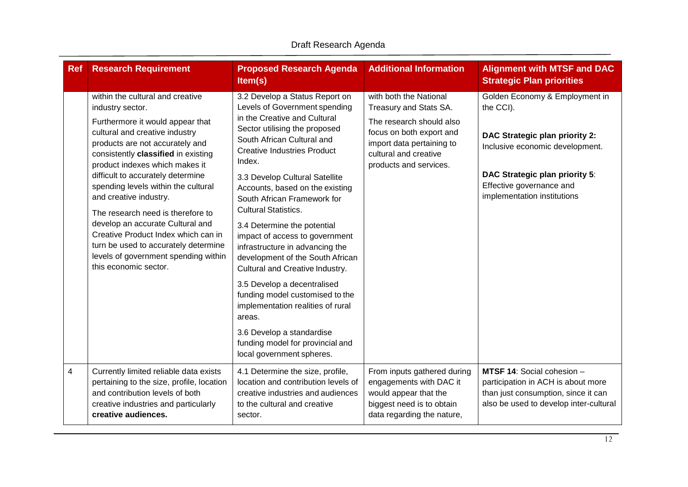| <b>Ref</b>     | <b>Research Requirement</b>                                                                                                                                                                                                                                                                                                                                                                                                                                                                                                                                           | <b>Proposed Research Agenda</b><br>Item(s)                                                                                                                                                                                                                                                                                                                                                                                                                                                                                                                                                                                                                                                                                                  | <b>Additional Information</b>                                                                                                                                                            | <b>Alignment with MTSF and DAC</b><br><b>Strategic Plan priorities</b>                                                                                                                                        |
|----------------|-----------------------------------------------------------------------------------------------------------------------------------------------------------------------------------------------------------------------------------------------------------------------------------------------------------------------------------------------------------------------------------------------------------------------------------------------------------------------------------------------------------------------------------------------------------------------|---------------------------------------------------------------------------------------------------------------------------------------------------------------------------------------------------------------------------------------------------------------------------------------------------------------------------------------------------------------------------------------------------------------------------------------------------------------------------------------------------------------------------------------------------------------------------------------------------------------------------------------------------------------------------------------------------------------------------------------------|------------------------------------------------------------------------------------------------------------------------------------------------------------------------------------------|---------------------------------------------------------------------------------------------------------------------------------------------------------------------------------------------------------------|
|                | within the cultural and creative<br>industry sector.<br>Furthermore it would appear that<br>cultural and creative industry<br>products are not accurately and<br>consistently classified in existing<br>product indexes which makes it<br>difficult to accurately determine<br>spending levels within the cultural<br>and creative industry.<br>The research need is therefore to<br>develop an accurate Cultural and<br>Creative Product Index which can in<br>turn be used to accurately determine<br>levels of government spending within<br>this economic sector. | 3.2 Develop a Status Report on<br>Levels of Government spending<br>in the Creative and Cultural<br>Sector utilising the proposed<br>South African Cultural and<br><b>Creative Industries Product</b><br>Index.<br>3.3 Develop Cultural Satellite<br>Accounts, based on the existing<br>South African Framework for<br><b>Cultural Statistics.</b><br>3.4 Determine the potential<br>impact of access to government<br>infrastructure in advancing the<br>development of the South African<br>Cultural and Creative Industry.<br>3.5 Develop a decentralised<br>funding model customised to the<br>implementation realities of rural<br>areas.<br>3.6 Develop a standardise<br>funding model for provincial and<br>local government spheres. | with both the National<br>Treasury and Stats SA.<br>The research should also<br>focus on both export and<br>import data pertaining to<br>cultural and creative<br>products and services. | Golden Economy & Employment in<br>the CCI).<br>DAC Strategic plan priority 2:<br>Inclusive economic development.<br>DAC Strategic plan priority 5:<br>Effective governance and<br>implementation institutions |
| $\overline{4}$ | Currently limited reliable data exists<br>pertaining to the size, profile, location<br>and contribution levels of both<br>creative industries and particularly<br>creative audiences.                                                                                                                                                                                                                                                                                                                                                                                 | 4.1 Determine the size, profile,<br>location and contribution levels of<br>creative industries and audiences<br>to the cultural and creative<br>sector.                                                                                                                                                                                                                                                                                                                                                                                                                                                                                                                                                                                     | From inputs gathered during<br>engagements with DAC it<br>would appear that the<br>biggest need is to obtain<br>data regarding the nature,                                               | MTSF 14: Social cohesion -<br>participation in ACH is about more<br>than just consumption, since it can<br>also be used to develop inter-cultural                                                             |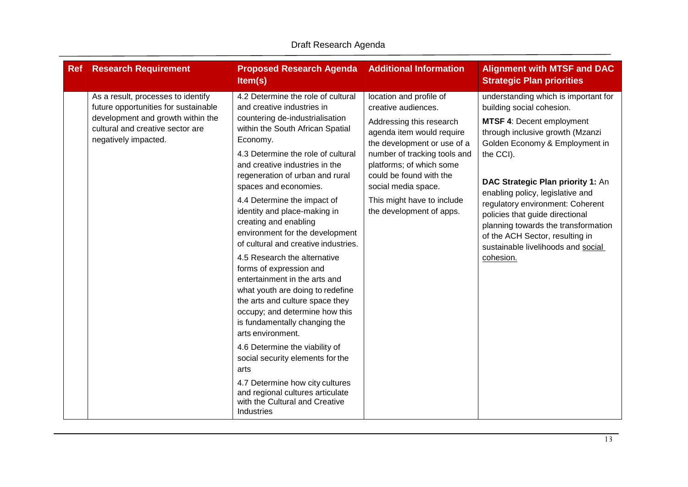| <b>Ref</b> | <b>Research Requirement</b>                                                                                                                                                 | <b>Proposed Research Agenda</b><br>Item(s)                                                                                                                                                                                                                                                                                                                                                                                                                                                                                                                                                                                                                                                                                                                                                                                                                                                                                 | <b>Additional Information</b>                                                                                                                                                                                                                                                                                  | <b>Alignment with MTSF and DAC</b><br><b>Strategic Plan priorities</b>                                                                                                                                                                                                                                                                                                                                                                                                |
|------------|-----------------------------------------------------------------------------------------------------------------------------------------------------------------------------|----------------------------------------------------------------------------------------------------------------------------------------------------------------------------------------------------------------------------------------------------------------------------------------------------------------------------------------------------------------------------------------------------------------------------------------------------------------------------------------------------------------------------------------------------------------------------------------------------------------------------------------------------------------------------------------------------------------------------------------------------------------------------------------------------------------------------------------------------------------------------------------------------------------------------|----------------------------------------------------------------------------------------------------------------------------------------------------------------------------------------------------------------------------------------------------------------------------------------------------------------|-----------------------------------------------------------------------------------------------------------------------------------------------------------------------------------------------------------------------------------------------------------------------------------------------------------------------------------------------------------------------------------------------------------------------------------------------------------------------|
|            | As a result, processes to identify<br>future opportunities for sustainable<br>development and growth within the<br>cultural and creative sector are<br>negatively impacted. | 4.2 Determine the role of cultural<br>and creative industries in<br>countering de-industrialisation<br>within the South African Spatial<br>Economy.<br>4.3 Determine the role of cultural<br>and creative industries in the<br>regeneration of urban and rural<br>spaces and economies.<br>4.4 Determine the impact of<br>identity and place-making in<br>creating and enabling<br>environment for the development<br>of cultural and creative industries.<br>4.5 Research the alternative<br>forms of expression and<br>entertainment in the arts and<br>what youth are doing to redefine<br>the arts and culture space they<br>occupy; and determine how this<br>is fundamentally changing the<br>arts environment.<br>4.6 Determine the viability of<br>social security elements for the<br>arts<br>4.7 Determine how city cultures<br>and regional cultures articulate<br>with the Cultural and Creative<br>Industries | location and profile of<br>creative audiences.<br>Addressing this research<br>agenda item would require<br>the development or use of a<br>number of tracking tools and<br>platforms; of which some<br>could be found with the<br>social media space.<br>This might have to include<br>the development of apps. | understanding which is important for<br>building social cohesion.<br><b>MTSF 4: Decent employment</b><br>through inclusive growth (Mzanzi<br>Golden Economy & Employment in<br>the CCI).<br>DAC Strategic Plan priority 1: An<br>enabling policy, legislative and<br>regulatory environment: Coherent<br>policies that guide directional<br>planning towards the transformation<br>of the ACH Sector, resulting in<br>sustainable livelihoods and social<br>cohesion. |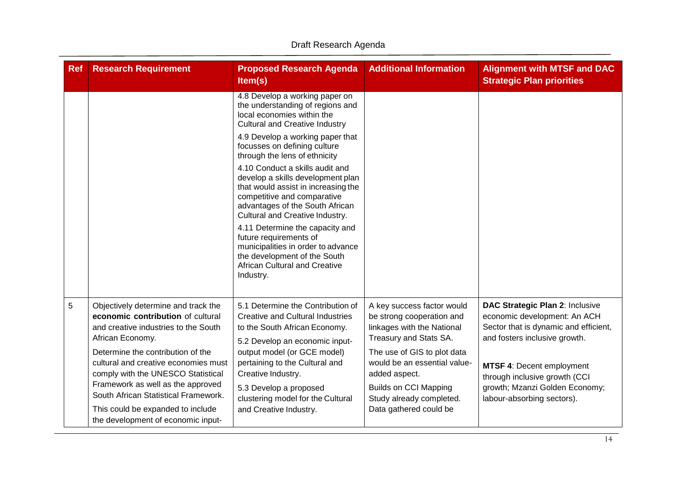| <b>Ref</b> | <b>Research Requirement</b>                                                                                                                          | <b>Proposed Research Agenda</b><br>Item(s)                                                                                                                                                                       | <b>Additional Information</b>                                                                                   | <b>Alignment with MTSF and DAC</b><br><b>Strategic Plan priorities</b>                                                                    |
|------------|------------------------------------------------------------------------------------------------------------------------------------------------------|------------------------------------------------------------------------------------------------------------------------------------------------------------------------------------------------------------------|-----------------------------------------------------------------------------------------------------------------|-------------------------------------------------------------------------------------------------------------------------------------------|
|            |                                                                                                                                                      | 4.8 Develop a working paper on<br>the understanding of regions and<br>local economies within the<br><b>Cultural and Creative Industry</b>                                                                        |                                                                                                                 |                                                                                                                                           |
|            |                                                                                                                                                      | 4.9 Develop a working paper that<br>focusses on defining culture<br>through the lens of ethnicity                                                                                                                |                                                                                                                 |                                                                                                                                           |
|            |                                                                                                                                                      | 4.10 Conduct a skills audit and<br>develop a skills development plan<br>that would assist in increasing the<br>competitive and comparative<br>advantages of the South African<br>Cultural and Creative Industry. |                                                                                                                 |                                                                                                                                           |
|            |                                                                                                                                                      | 4.11 Determine the capacity and<br>future requirements of<br>municipalities in order to advance<br>the development of the South<br><b>African Cultural and Creative</b><br>Industry.                             |                                                                                                                 |                                                                                                                                           |
| 5          | Objectively determine and track the<br>economic contribution of cultural<br>and creative industries to the South<br>African Economy.                 | 5.1 Determine the Contribution of<br><b>Creative and Cultural Industries</b><br>to the South African Economy.<br>5.2 Develop an economic input-                                                                  | A key success factor would<br>be strong cooperation and<br>linkages with the National<br>Treasury and Stats SA. | DAC Strategic Plan 2: Inclusive<br>economic development: An ACH<br>Sector that is dynamic and efficient,<br>and fosters inclusive growth. |
|            | Determine the contribution of the<br>cultural and creative economies must<br>comply with the UNESCO Statistical<br>Framework as well as the approved | output model (or GCE model)<br>pertaining to the Cultural and<br>Creative Industry.                                                                                                                              | The use of GIS to plot data<br>would be an essential value-<br>added aspect.                                    | MTSF 4: Decent employment<br>through inclusive growth (CCI<br>growth; Mzanzi Golden Economy;                                              |
|            | South African Statistical Framework.<br>This could be expanded to include<br>the development of economic input-                                      | 5.3 Develop a proposed<br>clustering model for the Cultural<br>and Creative Industry.                                                                                                                            | <b>Builds on CCI Mapping</b><br>Study already completed.<br>Data gathered could be                              | labour-absorbing sectors).                                                                                                                |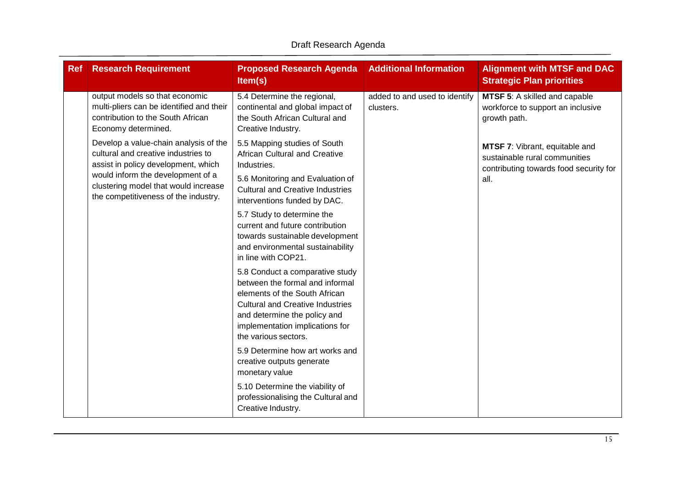| <b>Ref</b> | <b>Research Requirement</b>                                                                                                                                                                                                              | <b>Proposed Research Agenda</b><br>Item(s)                                                                                                                                                                                                | <b>Additional Information</b>              | <b>Alignment with MTSF and DAC</b><br><b>Strategic Plan priorities</b>                                            |
|------------|------------------------------------------------------------------------------------------------------------------------------------------------------------------------------------------------------------------------------------------|-------------------------------------------------------------------------------------------------------------------------------------------------------------------------------------------------------------------------------------------|--------------------------------------------|-------------------------------------------------------------------------------------------------------------------|
|            | output models so that economic<br>multi-pliers can be identified and their<br>contribution to the South African<br>Economy determined.                                                                                                   | 5.4 Determine the regional,<br>continental and global impact of<br>the South African Cultural and<br>Creative Industry.                                                                                                                   | added to and used to identify<br>clusters. | MTSF 5: A skilled and capable<br>workforce to support an inclusive<br>growth path.                                |
|            | Develop a value-chain analysis of the<br>cultural and creative industries to<br>assist in policy development, which<br>would inform the development of a<br>clustering model that would increase<br>the competitiveness of the industry. | 5.5 Mapping studies of South<br>African Cultural and Creative<br>Industries.<br>5.6 Monitoring and Evaluation of<br><b>Cultural and Creative Industries</b><br>interventions funded by DAC.                                               |                                            | MTSF 7: Vibrant, equitable and<br>sustainable rural communities<br>contributing towards food security for<br>all. |
|            |                                                                                                                                                                                                                                          | 5.7 Study to determine the<br>current and future contribution<br>towards sustainable development<br>and environmental sustainability<br>in line with COP21.                                                                               |                                            |                                                                                                                   |
|            |                                                                                                                                                                                                                                          | 5.8 Conduct a comparative study<br>between the formal and informal<br>elements of the South African<br><b>Cultural and Creative Industries</b><br>and determine the policy and<br>implementation implications for<br>the various sectors. |                                            |                                                                                                                   |
|            |                                                                                                                                                                                                                                          | 5.9 Determine how art works and<br>creative outputs generate<br>monetary value                                                                                                                                                            |                                            |                                                                                                                   |
|            |                                                                                                                                                                                                                                          | 5.10 Determine the viability of<br>professionalising the Cultural and<br>Creative Industry.                                                                                                                                               |                                            |                                                                                                                   |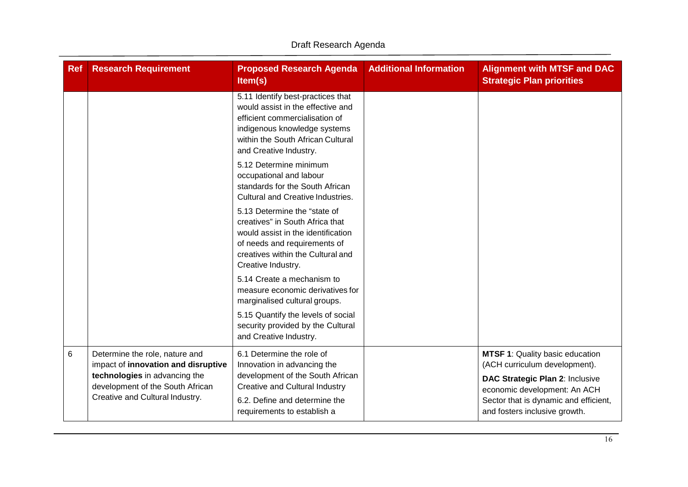| <b>Ref</b> | <b>Research Requirement</b>                                           | <b>Proposed Research Agenda</b><br>Item(s)                                                                                                                                                              | <b>Additional Information</b> | <b>Alignment with MTSF and DAC</b><br><b>Strategic Plan priorities</b>  |
|------------|-----------------------------------------------------------------------|---------------------------------------------------------------------------------------------------------------------------------------------------------------------------------------------------------|-------------------------------|-------------------------------------------------------------------------|
|            |                                                                       | 5.11 Identify best-practices that<br>would assist in the effective and<br>efficient commercialisation of<br>indigenous knowledge systems<br>within the South African Cultural<br>and Creative Industry. |                               |                                                                         |
|            |                                                                       | 5.12 Determine minimum<br>occupational and labour<br>standards for the South African<br>Cultural and Creative Industries.                                                                               |                               |                                                                         |
|            |                                                                       | 5.13 Determine the "state of<br>creatives" in South Africa that<br>would assist in the identification<br>of needs and requirements of<br>creatives within the Cultural and<br>Creative Industry.        |                               |                                                                         |
|            |                                                                       | 5.14 Create a mechanism to<br>measure economic derivatives for<br>marginalised cultural groups.                                                                                                         |                               |                                                                         |
|            |                                                                       | 5.15 Quantify the levels of social<br>security provided by the Cultural<br>and Creative Industry.                                                                                                       |                               |                                                                         |
| 6          | Determine the role, nature and<br>impact of innovation and disruptive | 6.1 Determine the role of<br>Innovation in advancing the                                                                                                                                                |                               | <b>MTSF 1: Quality basic education</b><br>(ACH curriculum development). |
|            | technologies in advancing the<br>development of the South African     | development of the South African<br><b>Creative and Cultural Industry</b>                                                                                                                               |                               | DAC Strategic Plan 2: Inclusive<br>economic development: An ACH         |
|            | Creative and Cultural Industry.                                       | 6.2. Define and determine the<br>requirements to establish a                                                                                                                                            |                               | Sector that is dynamic and efficient,<br>and fosters inclusive growth.  |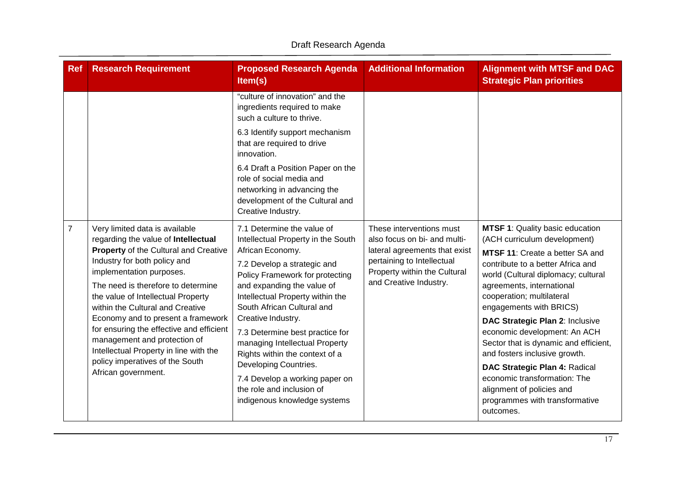| <b>Ref</b>     | <b>Research Requirement</b>                                                                                                                                                                                                                                                                                                                                                                                                                                                                                      | <b>Proposed Research Agenda</b><br>Item(s)                                                                                                                                                                                                                                                                                                                                                                                                                                                                  | <b>Additional Information</b>                                                                                                                                                     | <b>Alignment with MTSF and DAC</b><br><b>Strategic Plan priorities</b>                                                                                                                                                                                                                                                                                                                                                                                                                                                                                                      |
|----------------|------------------------------------------------------------------------------------------------------------------------------------------------------------------------------------------------------------------------------------------------------------------------------------------------------------------------------------------------------------------------------------------------------------------------------------------------------------------------------------------------------------------|-------------------------------------------------------------------------------------------------------------------------------------------------------------------------------------------------------------------------------------------------------------------------------------------------------------------------------------------------------------------------------------------------------------------------------------------------------------------------------------------------------------|-----------------------------------------------------------------------------------------------------------------------------------------------------------------------------------|-----------------------------------------------------------------------------------------------------------------------------------------------------------------------------------------------------------------------------------------------------------------------------------------------------------------------------------------------------------------------------------------------------------------------------------------------------------------------------------------------------------------------------------------------------------------------------|
|                |                                                                                                                                                                                                                                                                                                                                                                                                                                                                                                                  | "culture of innovation" and the<br>ingredients required to make<br>such a culture to thrive.                                                                                                                                                                                                                                                                                                                                                                                                                |                                                                                                                                                                                   |                                                                                                                                                                                                                                                                                                                                                                                                                                                                                                                                                                             |
|                |                                                                                                                                                                                                                                                                                                                                                                                                                                                                                                                  | 6.3 Identify support mechanism<br>that are required to drive<br>innovation.                                                                                                                                                                                                                                                                                                                                                                                                                                 |                                                                                                                                                                                   |                                                                                                                                                                                                                                                                                                                                                                                                                                                                                                                                                                             |
|                |                                                                                                                                                                                                                                                                                                                                                                                                                                                                                                                  | 6.4 Draft a Position Paper on the<br>role of social media and<br>networking in advancing the<br>development of the Cultural and<br>Creative Industry.                                                                                                                                                                                                                                                                                                                                                       |                                                                                                                                                                                   |                                                                                                                                                                                                                                                                                                                                                                                                                                                                                                                                                                             |
| $\overline{7}$ | Very limited data is available<br>regarding the value of Intellectual<br>Property of the Cultural and Creative<br>Industry for both policy and<br>implementation purposes.<br>The need is therefore to determine<br>the value of Intellectual Property<br>within the Cultural and Creative<br>Economy and to present a framework<br>for ensuring the effective and efficient<br>management and protection of<br>Intellectual Property in line with the<br>policy imperatives of the South<br>African government. | 7.1 Determine the value of<br>Intellectual Property in the South<br>African Economy.<br>7.2 Develop a strategic and<br>Policy Framework for protecting<br>and expanding the value of<br>Intellectual Property within the<br>South African Cultural and<br>Creative Industry.<br>7.3 Determine best practice for<br>managing Intellectual Property<br>Rights within the context of a<br>Developing Countries.<br>7.4 Develop a working paper on<br>the role and inclusion of<br>indigenous knowledge systems | These interventions must<br>also focus on bi- and multi-<br>lateral agreements that exist<br>pertaining to Intellectual<br>Property within the Cultural<br>and Creative Industry. | <b>MTSF 1: Quality basic education</b><br>(ACH curriculum development)<br><b>MTSF 11: Create a better SA and</b><br>contribute to a better Africa and<br>world (Cultural diplomacy; cultural<br>agreements, international<br>cooperation; multilateral<br>engagements with BRICS)<br>DAC Strategic Plan 2: Inclusive<br>economic development: An ACH<br>Sector that is dynamic and efficient,<br>and fosters inclusive growth.<br>DAC Strategic Plan 4: Radical<br>economic transformation: The<br>alignment of policies and<br>programmes with transformative<br>outcomes. |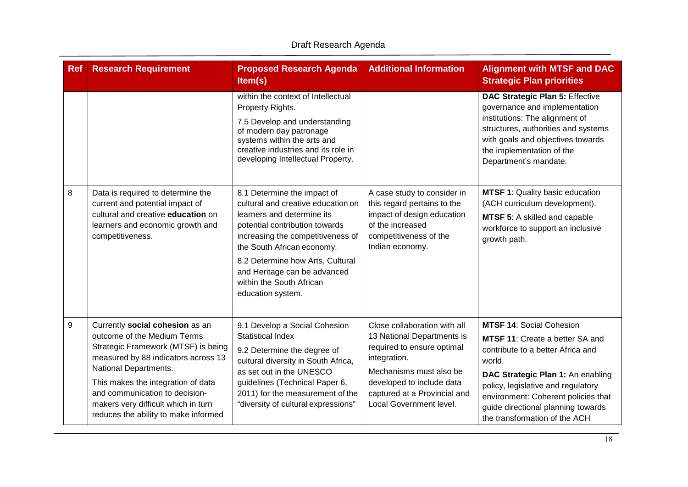| <b>Ref</b>       | <b>Research Requirement</b>                                                                                                                                                                                                                                                                                                  | <b>Proposed Research Agenda</b><br>Item(s)                                                                                                                                                                                                                                                                                | <b>Additional Information</b>                                                                                                                                                                                               | <b>Alignment with MTSF and DAC</b><br><b>Strategic Plan priorities</b>                                                                                                                                                                                                                                            |
|------------------|------------------------------------------------------------------------------------------------------------------------------------------------------------------------------------------------------------------------------------------------------------------------------------------------------------------------------|---------------------------------------------------------------------------------------------------------------------------------------------------------------------------------------------------------------------------------------------------------------------------------------------------------------------------|-----------------------------------------------------------------------------------------------------------------------------------------------------------------------------------------------------------------------------|-------------------------------------------------------------------------------------------------------------------------------------------------------------------------------------------------------------------------------------------------------------------------------------------------------------------|
|                  |                                                                                                                                                                                                                                                                                                                              | within the context of Intellectual<br>Property Rights.<br>7.5 Develop and understanding<br>of modern day patronage<br>systems within the arts and<br>creative industries and its role in<br>developing Intellectual Property.                                                                                             |                                                                                                                                                                                                                             | DAC Strategic Plan 5: Effective<br>governance and implementation<br>institutions: The alignment of<br>structures, authorities and systems<br>with goals and objectives towards<br>the implementation of the<br>Department's mandate.                                                                              |
| 8                | Data is required to determine the<br>current and potential impact of<br>cultural and creative education on<br>learners and economic growth and<br>competitiveness.                                                                                                                                                           | 8.1 Determine the impact of<br>cultural and creative education on<br>learners and determine its<br>potential contribution towards<br>increasing the competitiveness of<br>the South African economy.<br>8.2 Determine how Arts, Cultural<br>and Heritage can be advanced<br>within the South African<br>education system. | A case study to consider in<br>this regard pertains to the<br>impact of design education<br>of the increased<br>competitiveness of the<br>Indian economy.                                                                   | MTSF 1: Quality basic education<br>(ACH curriculum development).<br>MTSF 5: A skilled and capable<br>workforce to support an inclusive<br>growth path.                                                                                                                                                            |
| $\boldsymbol{9}$ | Currently social cohesion as an<br>outcome of the Medium Terms<br>Strategic Framework (MTSF) is being<br>measured by 88 indicators across 13<br>National Departments.<br>This makes the integration of data<br>and communication to decision-<br>makers very difficult which in turn<br>reduces the ability to make informed | 9.1 Develop a Social Cohesion<br><b>Statistical Index</b><br>9.2 Determine the degree of<br>cultural diversity in South Africa,<br>as set out in the UNESCO<br>guidelines (Technical Paper 6,<br>2011) for the measurement of the<br>"diversity of cultural expressions"                                                  | Close collaboration with all<br>13 National Departments is<br>required to ensure optimal<br>integration.<br>Mechanisms must also be<br>developed to include data<br>captured at a Provincial and<br>Local Government level. | <b>MTSF 14: Social Cohesion</b><br><b>MTSF 11: Create a better SA and</b><br>contribute to a better Africa and<br>world.<br>DAC Strategic Plan 1: An enabling<br>policy, legislative and regulatory<br>environment: Coherent policies that<br>guide directional planning towards<br>the transformation of the ACH |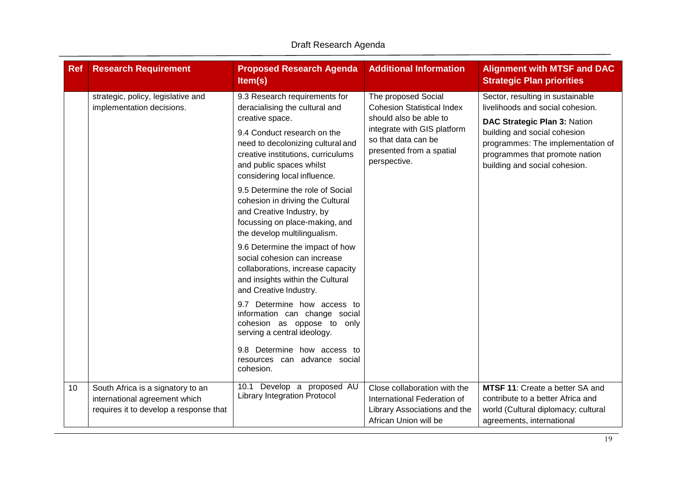| <b>Ref</b> | <b>Research Requirement</b>                                                                                  | <b>Proposed Research Agenda</b><br>Item(s)                                                                                                                                                                                                                                                                                                                                                                                                                                                                                                                                                                                                                                                                                                                                                                     | <b>Additional Information</b>                                                                                                                                                        | <b>Alignment with MTSF and DAC</b><br><b>Strategic Plan priorities</b>                                                                                                                                                                       |
|------------|--------------------------------------------------------------------------------------------------------------|----------------------------------------------------------------------------------------------------------------------------------------------------------------------------------------------------------------------------------------------------------------------------------------------------------------------------------------------------------------------------------------------------------------------------------------------------------------------------------------------------------------------------------------------------------------------------------------------------------------------------------------------------------------------------------------------------------------------------------------------------------------------------------------------------------------|--------------------------------------------------------------------------------------------------------------------------------------------------------------------------------------|----------------------------------------------------------------------------------------------------------------------------------------------------------------------------------------------------------------------------------------------|
|            | strategic, policy, legislative and<br>implementation decisions.                                              | 9.3 Research requirements for<br>deracialising the cultural and<br>creative space.<br>9.4 Conduct research on the<br>need to decolonizing cultural and<br>creative institutions, curriculums<br>and public spaces whilst<br>considering local influence.<br>9.5 Determine the role of Social<br>cohesion in driving the Cultural<br>and Creative Industry, by<br>focussing on place-making, and<br>the develop multilingualism.<br>9.6 Determine the impact of how<br>social cohesion can increase<br>collaborations, increase capacity<br>and insights within the Cultural<br>and Creative Industry.<br>9.7 Determine how access to<br>information can change social<br>cohesion as oppose to only<br>serving a central ideology.<br>9.8 Determine how access to<br>resources can advance social<br>cohesion. | The proposed Social<br><b>Cohesion Statistical Index</b><br>should also be able to<br>integrate with GIS platform<br>so that data can be<br>presented from a spatial<br>perspective. | Sector, resulting in sustainable<br>livelihoods and social cohesion.<br>DAC Strategic Plan 3: Nation<br>building and social cohesion<br>programmes: The implementation of<br>programmes that promote nation<br>building and social cohesion. |
| 10         | South Africa is a signatory to an<br>international agreement which<br>requires it to develop a response that | 10.1 Develop a proposed AU<br><b>Library Integration Protocol</b>                                                                                                                                                                                                                                                                                                                                                                                                                                                                                                                                                                                                                                                                                                                                              | Close collaboration with the<br>International Federation of<br>Library Associations and the<br>African Union will be                                                                 | <b>MTSF 11: Create a better SA and</b><br>contribute to a better Africa and<br>world (Cultural diplomacy; cultural<br>agreements, international                                                                                              |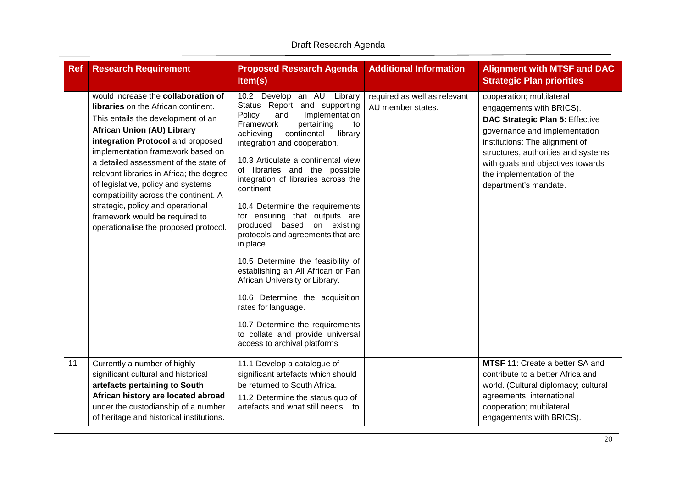| <b>Ref</b> | <b>Research Requirement</b>                                                                                                                                                                                                                                                                                                                                                                                                                                                                                                | <b>Proposed Research Agenda</b><br>Item(s)                                                                                                                                                                                                                                                                                                                                                                                                                                                                                                                                                                                                                                                                                                                        | <b>Additional Information</b>                     | <b>Alignment with MTSF and DAC</b><br><b>Strategic Plan priorities</b>                                                                                                                                                                                                                               |
|------------|----------------------------------------------------------------------------------------------------------------------------------------------------------------------------------------------------------------------------------------------------------------------------------------------------------------------------------------------------------------------------------------------------------------------------------------------------------------------------------------------------------------------------|-------------------------------------------------------------------------------------------------------------------------------------------------------------------------------------------------------------------------------------------------------------------------------------------------------------------------------------------------------------------------------------------------------------------------------------------------------------------------------------------------------------------------------------------------------------------------------------------------------------------------------------------------------------------------------------------------------------------------------------------------------------------|---------------------------------------------------|------------------------------------------------------------------------------------------------------------------------------------------------------------------------------------------------------------------------------------------------------------------------------------------------------|
|            | would increase the collaboration of<br><b>libraries</b> on the African continent.<br>This entails the development of an<br><b>African Union (AU) Library</b><br>integration Protocol and proposed<br>implementation framework based on<br>a detailed assessment of the state of<br>relevant libraries in Africa; the degree<br>of legislative, policy and systems<br>compatibility across the continent. A<br>strategic, policy and operational<br>framework would be required to<br>operationalise the proposed protocol. | 10.2 Develop an AU Library<br>Status Report and supporting<br>Implementation<br>Policy<br>and<br>Framework<br>pertaining<br>to<br>achieving<br>continental<br>library<br>integration and cooperation.<br>10.3 Articulate a continental view<br>of libraries and the possible<br>integration of libraries across the<br>continent<br>10.4 Determine the requirements<br>for ensuring that outputs are<br>produced based on existing<br>protocols and agreements that are<br>in place.<br>10.5 Determine the feasibility of<br>establishing an All African or Pan<br>African University or Library.<br>10.6 Determine the acquisition<br>rates for language.<br>10.7 Determine the requirements<br>to collate and provide universal<br>access to archival platforms | required as well as relevant<br>AU member states. | cooperation; multilateral<br>engagements with BRICS).<br><b>DAC Strategic Plan 5: Effective</b><br>governance and implementation<br>institutions: The alignment of<br>structures, authorities and systems<br>with goals and objectives towards<br>the implementation of the<br>department's mandate. |
| 11         | Currently a number of highly<br>significant cultural and historical<br>artefacts pertaining to South<br>African history are located abroad<br>under the custodianship of a number<br>of heritage and historical institutions.                                                                                                                                                                                                                                                                                              | 11.1 Develop a catalogue of<br>significant artefacts which should<br>be returned to South Africa.<br>11.2 Determine the status quo of<br>artefacts and what still needs to                                                                                                                                                                                                                                                                                                                                                                                                                                                                                                                                                                                        |                                                   | <b>MTSF 11: Create a better SA and</b><br>contribute to a better Africa and<br>world. (Cultural diplomacy; cultural<br>agreements, international<br>cooperation; multilateral<br>engagements with BRICS).                                                                                            |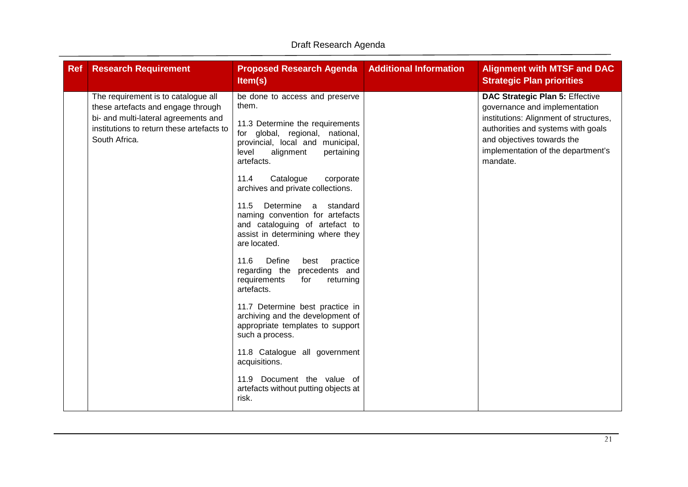| <b>Ref</b><br><b>Research Requirement</b>                                                                                                                                       | <b>Proposed Research Agenda</b><br>Item(s)                                                                                                                                                                                                                                                                                                                                                                                                                                                                                                                                                                                                                                                                                                                                                                                 | <b>Additional Information</b> | <b>Alignment with MTSF and DAC</b><br><b>Strategic Plan priorities</b>                                                                                                                                                                  |
|---------------------------------------------------------------------------------------------------------------------------------------------------------------------------------|----------------------------------------------------------------------------------------------------------------------------------------------------------------------------------------------------------------------------------------------------------------------------------------------------------------------------------------------------------------------------------------------------------------------------------------------------------------------------------------------------------------------------------------------------------------------------------------------------------------------------------------------------------------------------------------------------------------------------------------------------------------------------------------------------------------------------|-------------------------------|-----------------------------------------------------------------------------------------------------------------------------------------------------------------------------------------------------------------------------------------|
| The requirement is to catalogue all<br>these artefacts and engage through<br>bi- and multi-lateral agreements and<br>institutions to return these artefacts to<br>South Africa. | be done to access and preserve<br>them.<br>11.3 Determine the requirements<br>for global, regional, national,<br>provincial, local and municipal,<br>alignment<br>level<br>pertaining<br>artefacts.<br>11.4<br>Catalogue<br>corporate<br>archives and private collections.<br>11.5<br>Determine<br>a<br>standard<br>naming convention for artefacts<br>and cataloguing of artefact to<br>assist in determining where they<br>are located.<br>Define<br>11.6<br>practice<br>best<br>regarding the<br>precedents and<br>requirements<br>returning<br>for<br>artefacts.<br>11.7 Determine best practice in<br>archiving and the development of<br>appropriate templates to support<br>such a process.<br>11.8 Catalogue all government<br>acquisitions.<br>11.9 Document the value of<br>artefacts without putting objects at |                               | <b>DAC Strategic Plan 5: Effective</b><br>governance and implementation<br>institutions: Alignment of structures,<br>authorities and systems with goals<br>and objectives towards the<br>implementation of the department's<br>mandate. |
|                                                                                                                                                                                 | risk.                                                                                                                                                                                                                                                                                                                                                                                                                                                                                                                                                                                                                                                                                                                                                                                                                      |                               |                                                                                                                                                                                                                                         |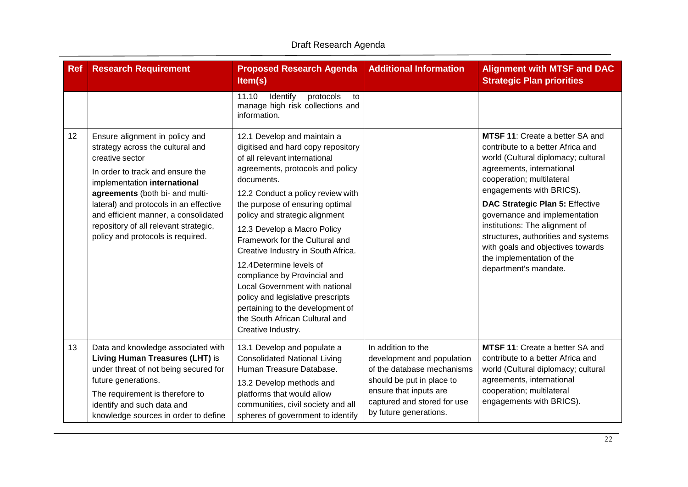| <b>Ref</b> | <b>Research Requirement</b>                                                                                                                                                                                                                                                                                                                                  | <b>Proposed Research Agenda</b><br>Item(s)                                                                                                                                                                                                                                                                                                                                                                                                                                                                                                                                                           | <b>Additional Information</b>                                                                                                                                                                  | <b>Alignment with MTSF and DAC</b><br><b>Strategic Plan priorities</b>                                                                                                                                                                                                                                                                                                                                                                           |
|------------|--------------------------------------------------------------------------------------------------------------------------------------------------------------------------------------------------------------------------------------------------------------------------------------------------------------------------------------------------------------|------------------------------------------------------------------------------------------------------------------------------------------------------------------------------------------------------------------------------------------------------------------------------------------------------------------------------------------------------------------------------------------------------------------------------------------------------------------------------------------------------------------------------------------------------------------------------------------------------|------------------------------------------------------------------------------------------------------------------------------------------------------------------------------------------------|--------------------------------------------------------------------------------------------------------------------------------------------------------------------------------------------------------------------------------------------------------------------------------------------------------------------------------------------------------------------------------------------------------------------------------------------------|
|            |                                                                                                                                                                                                                                                                                                                                                              | 11.10<br>Identify<br>protocols<br>to<br>manage high risk collections and<br>information.                                                                                                                                                                                                                                                                                                                                                                                                                                                                                                             |                                                                                                                                                                                                |                                                                                                                                                                                                                                                                                                                                                                                                                                                  |
| 12         | Ensure alignment in policy and<br>strategy across the cultural and<br>creative sector<br>In order to track and ensure the<br>implementation international<br>agreements (both bi- and multi-<br>lateral) and protocols in an effective<br>and efficient manner, a consolidated<br>repository of all relevant strategic,<br>policy and protocols is required. | 12.1 Develop and maintain a<br>digitised and hard copy repository<br>of all relevant international<br>agreements, protocols and policy<br>documents.<br>12.2 Conduct a policy review with<br>the purpose of ensuring optimal<br>policy and strategic alignment<br>12.3 Develop a Macro Policy<br>Framework for the Cultural and<br>Creative Industry in South Africa.<br>12.4 Determine levels of<br>compliance by Provincial and<br>Local Government with national<br>policy and legislative prescripts<br>pertaining to the development of<br>the South African Cultural and<br>Creative Industry. |                                                                                                                                                                                                | <b>MTSF 11: Create a better SA and</b><br>contribute to a better Africa and<br>world (Cultural diplomacy; cultural<br>agreements, international<br>cooperation; multilateral<br>engagements with BRICS).<br>DAC Strategic Plan 5: Effective<br>governance and implementation<br>institutions: The alignment of<br>structures, authorities and systems<br>with goals and objectives towards<br>the implementation of the<br>department's mandate. |
| 13         | Data and knowledge associated with<br>Living Human Treasures (LHT) is<br>under threat of not being secured for<br>future generations.<br>The requirement is therefore to<br>identify and such data and<br>knowledge sources in order to define                                                                                                               | 13.1 Develop and populate a<br><b>Consolidated National Living</b><br>Human Treasure Database.<br>13.2 Develop methods and<br>platforms that would allow<br>communities, civil society and all<br>spheres of government to identify                                                                                                                                                                                                                                                                                                                                                                  | In addition to the<br>development and population<br>of the database mechanisms<br>should be put in place to<br>ensure that inputs are<br>captured and stored for use<br>by future generations. | MTSF 11: Create a better SA and<br>contribute to a better Africa and<br>world (Cultural diplomacy; cultural<br>agreements, international<br>cooperation; multilateral<br>engagements with BRICS).                                                                                                                                                                                                                                                |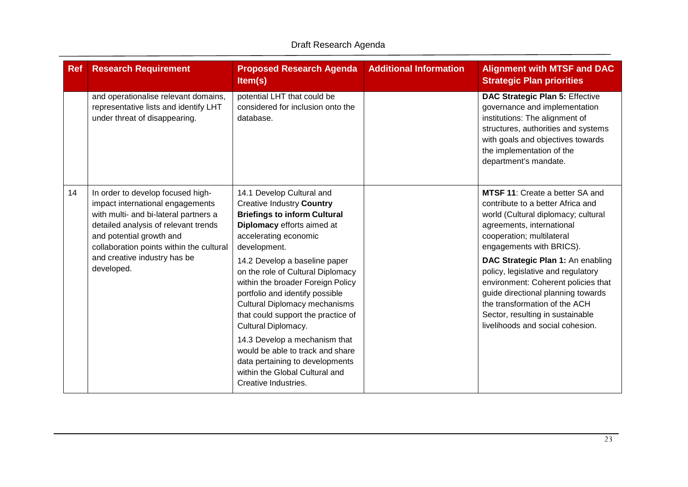| <b>Ref</b> | <b>Research Requirement</b>                                                                                                                                                                                                    | <b>Proposed Research Agenda</b><br>Item(s)                                                                                                                                                                                                                                       | <b>Additional Information</b> | <b>Alignment with MTSF and DAC</b><br><b>Strategic Plan priorities</b>                                                                                                                                                                                        |
|------------|--------------------------------------------------------------------------------------------------------------------------------------------------------------------------------------------------------------------------------|----------------------------------------------------------------------------------------------------------------------------------------------------------------------------------------------------------------------------------------------------------------------------------|-------------------------------|---------------------------------------------------------------------------------------------------------------------------------------------------------------------------------------------------------------------------------------------------------------|
|            | and operationalise relevant domains,<br>representative lists and identify LHT<br>under threat of disappearing.                                                                                                                 | potential LHT that could be<br>considered for inclusion onto the<br>database.                                                                                                                                                                                                    |                               | <b>DAC Strategic Plan 5: Effective</b><br>governance and implementation<br>institutions: The alignment of<br>structures, authorities and systems<br>with goals and objectives towards<br>the implementation of the<br>department's mandate.                   |
| 14         | In order to develop focused high-<br>impact international engagements<br>with multi- and bi-lateral partners a<br>detailed analysis of relevant trends<br>and potential growth and<br>collaboration points within the cultural | 14.1 Develop Cultural and<br><b>Creative Industry Country</b><br><b>Briefings to inform Cultural</b><br>Diplomacy efforts aimed at<br>accelerating economic<br>development.                                                                                                      |                               | <b>MTSF 11: Create a better SA and</b><br>contribute to a better Africa and<br>world (Cultural diplomacy; cultural<br>agreements, international<br>cooperation; multilateral<br>engagements with BRICS).                                                      |
|            | and creative industry has be<br>developed.                                                                                                                                                                                     | 14.2 Develop a baseline paper<br>on the role of Cultural Diplomacy<br>within the broader Foreign Policy<br>portfolio and identify possible<br><b>Cultural Diplomacy mechanisms</b><br>that could support the practice of<br>Cultural Diplomacy.<br>14.3 Develop a mechanism that |                               | DAC Strategic Plan 1: An enabling<br>policy, legislative and regulatory<br>environment: Coherent policies that<br>guide directional planning towards<br>the transformation of the ACH<br>Sector, resulting in sustainable<br>livelihoods and social cohesion. |
|            |                                                                                                                                                                                                                                | would be able to track and share<br>data pertaining to developments<br>within the Global Cultural and<br>Creative Industries.                                                                                                                                                    |                               |                                                                                                                                                                                                                                                               |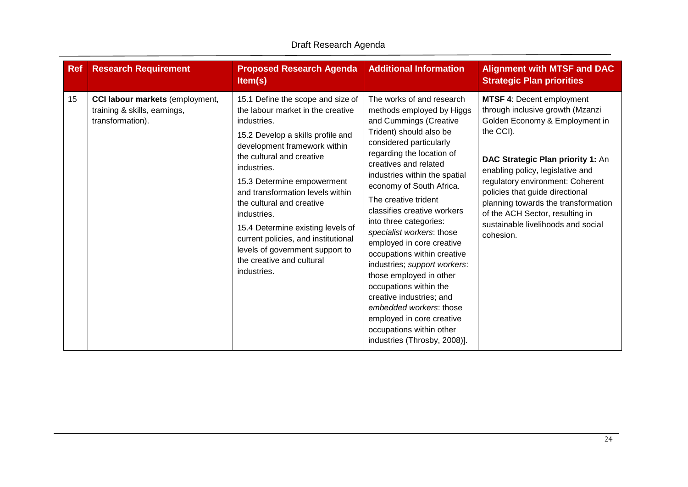| <b>Ref</b> | <b>Research Requirement</b>                                                         | <b>Proposed Research Agenda</b><br>Item(s)                                                                                                                                                                                                                                                                                                                                                                                                                                      | <b>Additional Information</b>                                                                                                                                                                                                                                                                                                                                                                                                                                                                                                                                                                                                                                            | <b>Alignment with MTSF and DAC</b><br><b>Strategic Plan priorities</b>                                                                                                                                                                                                                                                                                                                           |
|------------|-------------------------------------------------------------------------------------|---------------------------------------------------------------------------------------------------------------------------------------------------------------------------------------------------------------------------------------------------------------------------------------------------------------------------------------------------------------------------------------------------------------------------------------------------------------------------------|--------------------------------------------------------------------------------------------------------------------------------------------------------------------------------------------------------------------------------------------------------------------------------------------------------------------------------------------------------------------------------------------------------------------------------------------------------------------------------------------------------------------------------------------------------------------------------------------------------------------------------------------------------------------------|--------------------------------------------------------------------------------------------------------------------------------------------------------------------------------------------------------------------------------------------------------------------------------------------------------------------------------------------------------------------------------------------------|
| 15         | CCI labour markets (employment,<br>training & skills, earnings,<br>transformation). | 15.1 Define the scope and size of<br>the labour market in the creative<br>industries.<br>15.2 Develop a skills profile and<br>development framework within<br>the cultural and creative<br>industries.<br>15.3 Determine empowerment<br>and transformation levels within<br>the cultural and creative<br>industries.<br>15.4 Determine existing levels of<br>current policies, and institutional<br>levels of government support to<br>the creative and cultural<br>industries. | The works of and research<br>methods employed by Higgs<br>and Cummings (Creative<br>Trident) should also be<br>considered particularly<br>regarding the location of<br>creatives and related<br>industries within the spatial<br>economy of South Africa.<br>The creative trident<br>classifies creative workers<br>into three categories:<br>specialist workers: those<br>employed in core creative<br>occupations within creative<br>industries; support workers:<br>those employed in other<br>occupations within the<br>creative industries; and<br>embedded workers: those<br>employed in core creative<br>occupations within other<br>industries (Throsby, 2008)]. | <b>MTSF 4: Decent employment</b><br>through inclusive growth (Mzanzi<br>Golden Economy & Employment in<br>the CCI).<br>DAC Strategic Plan priority 1: An<br>enabling policy, legislative and<br>regulatory environment: Coherent<br>policies that guide directional<br>planning towards the transformation<br>of the ACH Sector, resulting in<br>sustainable livelihoods and social<br>cohesion. |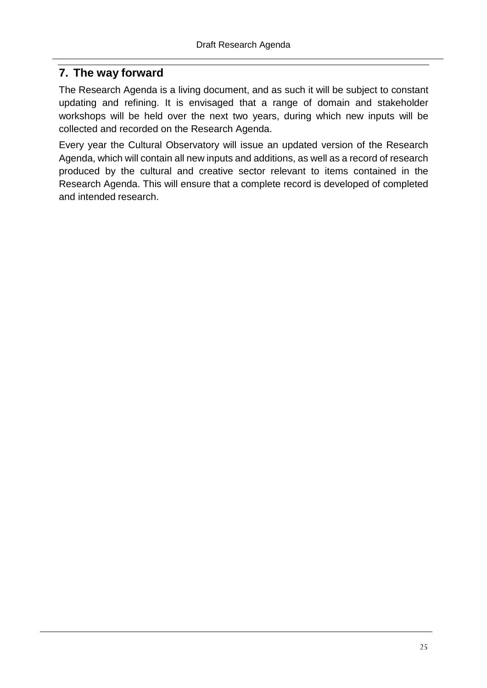#### <span id="page-25-0"></span>**7. The way forward**

The Research Agenda is a living document, and as such it will be subject to constant updating and refining. It is envisaged that a range of domain and stakeholder workshops will be held over the next two years, during which new inputs will be collected and recorded on the Research Agenda.

Every year the Cultural Observatory will issue an updated version of the Research Agenda, which will contain all new inputs and additions, as well as a record of research produced by the cultural and creative sector relevant to items contained in the Research Agenda. This will ensure that a complete record is developed of completed and intended research.